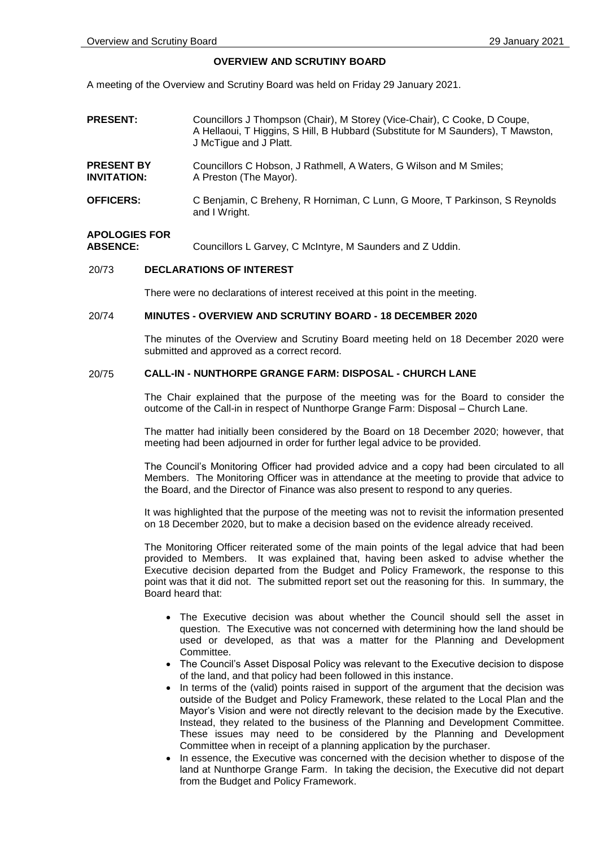### **OVERVIEW AND SCRUTINY BOARD**

A meeting of the Overview and Scrutiny Board was held on Friday 29 January 2021.

- **PRESENT:** Councillors J Thompson (Chair), M Storey (Vice-Chair), C Cooke, D Coupe, A Hellaoui, T Higgins, S Hill, B Hubbard (Substitute for M Saunders), T Mawston, J McTigue and J Platt. **PRESENT BY INVITATION:** Councillors C Hobson, J Rathmell, A Waters, G Wilson and M Smiles; A Preston (The Mayor).
- **OFFICERS:** C Benjamin, C Breheny, R Horniman, C Lunn, G Moore, T Parkinson, S Reynolds and I Wright.

# **APOLOGIES FOR**

Councillors L Garvey, C McIntyre, M Saunders and Z Uddin.

## 20/73 **DECLARATIONS OF INTEREST**

There were no declarations of interest received at this point in the meeting.

### 20/74 **MINUTES - OVERVIEW AND SCRUTINY BOARD - 18 DECEMBER 2020**

The minutes of the Overview and Scrutiny Board meeting held on 18 December 2020 were submitted and approved as a correct record.

### 20/75 **CALL-IN - NUNTHORPE GRANGE FARM: DISPOSAL - CHURCH LANE**

The Chair explained that the purpose of the meeting was for the Board to consider the outcome of the Call-in in respect of Nunthorpe Grange Farm: Disposal – Church Lane.

The matter had initially been considered by the Board on 18 December 2020; however, that meeting had been adjourned in order for further legal advice to be provided.

The Council's Monitoring Officer had provided advice and a copy had been circulated to all Members. The Monitoring Officer was in attendance at the meeting to provide that advice to the Board, and the Director of Finance was also present to respond to any queries.

It was highlighted that the purpose of the meeting was not to revisit the information presented on 18 December 2020, but to make a decision based on the evidence already received.

The Monitoring Officer reiterated some of the main points of the legal advice that had been provided to Members. It was explained that, having been asked to advise whether the Executive decision departed from the Budget and Policy Framework, the response to this point was that it did not. The submitted report set out the reasoning for this. In summary, the Board heard that:

- The Executive decision was about whether the Council should sell the asset in question. The Executive was not concerned with determining how the land should be used or developed, as that was a matter for the Planning and Development Committee.
- The Council's Asset Disposal Policy was relevant to the Executive decision to dispose of the land, and that policy had been followed in this instance.
- In terms of the (valid) points raised in support of the argument that the decision was outside of the Budget and Policy Framework, these related to the Local Plan and the Mayor's Vision and were not directly relevant to the decision made by the Executive. Instead, they related to the business of the Planning and Development Committee. These issues may need to be considered by the Planning and Development Committee when in receipt of a planning application by the purchaser.
- In essence, the Executive was concerned with the decision whether to dispose of the land at Nunthorpe Grange Farm. In taking the decision, the Executive did not depart from the Budget and Policy Framework.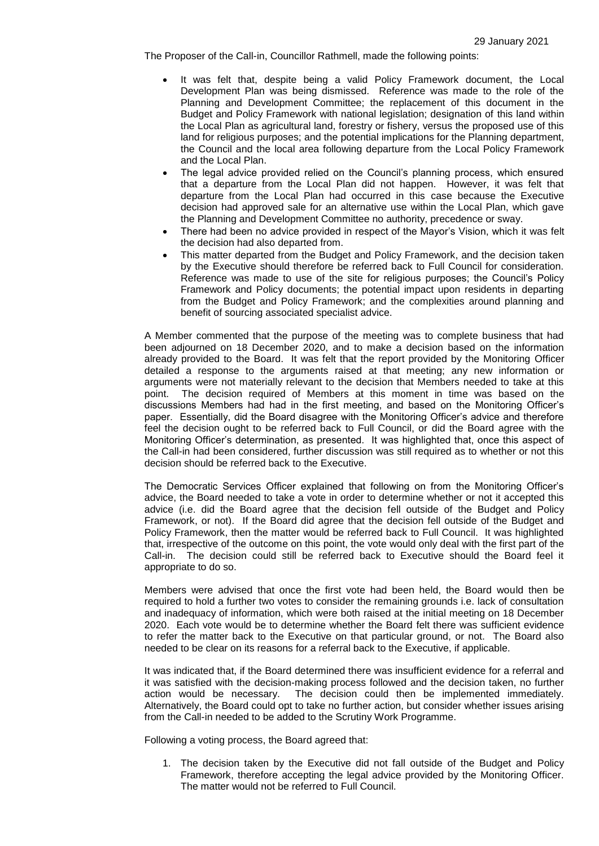The Proposer of the Call-in, Councillor Rathmell, made the following points:

- It was felt that, despite being a valid Policy Framework document, the Local Development Plan was being dismissed. Reference was made to the role of the Planning and Development Committee; the replacement of this document in the Budget and Policy Framework with national legislation; designation of this land within the Local Plan as agricultural land, forestry or fishery, versus the proposed use of this land for religious purposes; and the potential implications for the Planning department, the Council and the local area following departure from the Local Policy Framework and the Local Plan.
- The legal advice provided relied on the Council's planning process, which ensured that a departure from the Local Plan did not happen. However, it was felt that departure from the Local Plan had occurred in this case because the Executive decision had approved sale for an alternative use within the Local Plan, which gave the Planning and Development Committee no authority, precedence or sway.
- There had been no advice provided in respect of the Mayor's Vision, which it was felt the decision had also departed from.
- This matter departed from the Budget and Policy Framework, and the decision taken by the Executive should therefore be referred back to Full Council for consideration. Reference was made to use of the site for religious purposes; the Council's Policy Framework and Policy documents; the potential impact upon residents in departing from the Budget and Policy Framework; and the complexities around planning and benefit of sourcing associated specialist advice.

A Member commented that the purpose of the meeting was to complete business that had been adjourned on 18 December 2020, and to make a decision based on the information already provided to the Board. It was felt that the report provided by the Monitoring Officer detailed a response to the arguments raised at that meeting; any new information or arguments were not materially relevant to the decision that Members needed to take at this point. The decision required of Members at this moment in time was based on the discussions Members had had in the first meeting, and based on the Monitoring Officer's paper. Essentially, did the Board disagree with the Monitoring Officer's advice and therefore feel the decision ought to be referred back to Full Council, or did the Board agree with the Monitoring Officer's determination, as presented. It was highlighted that, once this aspect of the Call-in had been considered, further discussion was still required as to whether or not this decision should be referred back to the Executive.

The Democratic Services Officer explained that following on from the Monitoring Officer's advice, the Board needed to take a vote in order to determine whether or not it accepted this advice (i.e. did the Board agree that the decision fell outside of the Budget and Policy Framework, or not). If the Board did agree that the decision fell outside of the Budget and Policy Framework, then the matter would be referred back to Full Council. It was highlighted that, irrespective of the outcome on this point, the vote would only deal with the first part of the Call-in. The decision could still be referred back to Executive should the Board feel it appropriate to do so.

Members were advised that once the first vote had been held, the Board would then be required to hold a further two votes to consider the remaining grounds i.e. lack of consultation and inadequacy of information, which were both raised at the initial meeting on 18 December 2020. Each vote would be to determine whether the Board felt there was sufficient evidence to refer the matter back to the Executive on that particular ground, or not. The Board also needed to be clear on its reasons for a referral back to the Executive, if applicable.

It was indicated that, if the Board determined there was insufficient evidence for a referral and it was satisfied with the decision-making process followed and the decision taken, no further action would be necessary. The decision could then be implemented immediately. Alternatively, the Board could opt to take no further action, but consider whether issues arising from the Call-in needed to be added to the Scrutiny Work Programme.

Following a voting process, the Board agreed that:

1. The decision taken by the Executive did not fall outside of the Budget and Policy Framework, therefore accepting the legal advice provided by the Monitoring Officer. The matter would not be referred to Full Council.